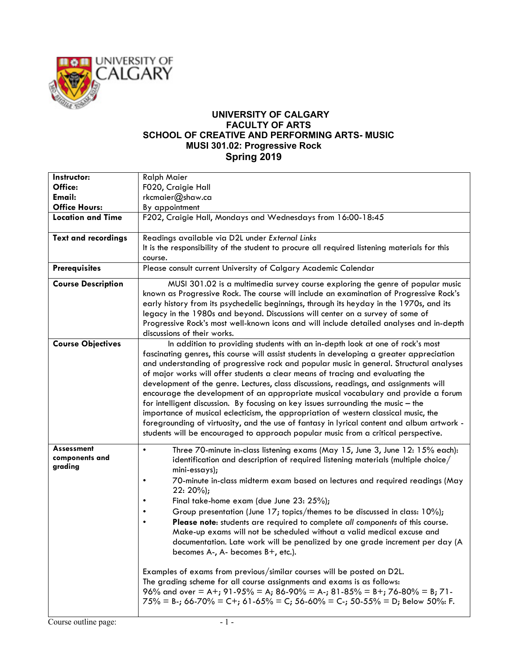

## **UNIVERSITY OF CALGARY FACULTY OF ARTS SCHOOL OF CREATIVE AND PERFORMING ARTS- MUSIC MUSI 301.02: Progressive Rock Spring 2019**

| Instructor:                             | <b>Ralph Maier</b>                                                                                                                                                                                                                                                                                                                                                                                                                                                                                                                                                                                                                                                                                                                                                                                                                                                                                                                                                                                                                    |
|-----------------------------------------|---------------------------------------------------------------------------------------------------------------------------------------------------------------------------------------------------------------------------------------------------------------------------------------------------------------------------------------------------------------------------------------------------------------------------------------------------------------------------------------------------------------------------------------------------------------------------------------------------------------------------------------------------------------------------------------------------------------------------------------------------------------------------------------------------------------------------------------------------------------------------------------------------------------------------------------------------------------------------------------------------------------------------------------|
| Office:                                 | F020, Craigie Hall                                                                                                                                                                                                                                                                                                                                                                                                                                                                                                                                                                                                                                                                                                                                                                                                                                                                                                                                                                                                                    |
| <b>Email:</b>                           | rkcmaier@shaw.ca                                                                                                                                                                                                                                                                                                                                                                                                                                                                                                                                                                                                                                                                                                                                                                                                                                                                                                                                                                                                                      |
| <b>Office Hours:</b>                    | By appointment                                                                                                                                                                                                                                                                                                                                                                                                                                                                                                                                                                                                                                                                                                                                                                                                                                                                                                                                                                                                                        |
| <b>Location and Time</b>                | F202, Craigie Hall, Mondays and Wednesdays from 16:00-18:45                                                                                                                                                                                                                                                                                                                                                                                                                                                                                                                                                                                                                                                                                                                                                                                                                                                                                                                                                                           |
| <b>Text and recordings</b>              | Readings available via D2L under External Links<br>It is the responsibility of the student to procure all required listening materials for this                                                                                                                                                                                                                                                                                                                                                                                                                                                                                                                                                                                                                                                                                                                                                                                                                                                                                       |
|                                         | course.                                                                                                                                                                                                                                                                                                                                                                                                                                                                                                                                                                                                                                                                                                                                                                                                                                                                                                                                                                                                                               |
| <b>Prerequisites</b>                    | Please consult current University of Calgary Academic Calendar                                                                                                                                                                                                                                                                                                                                                                                                                                                                                                                                                                                                                                                                                                                                                                                                                                                                                                                                                                        |
| <b>Course Description</b>               | MUSI 301.02 is a multimedia survey course exploring the genre of popular music<br>known as Progressive Rock. The course will include an examination of Progressive Rock's<br>early history from its psychedelic beginnings, through its heyday in the 1970s, and its<br>legacy in the 1980s and beyond. Discussions will center on a survey of some of<br>Progressive Rock's most well-known icons and will include detailed analyses and in-depth<br>discussions of their works.                                                                                                                                                                                                                                                                                                                                                                                                                                                                                                                                                     |
| <b>Course Objectives</b>                | In addition to providing students with an in-depth look at one of rock's most<br>fascinating genres, this course will assist students in developing a greater appreciation<br>and understanding of progressive rock and popular music in general. Structural analyses<br>of major works will offer students a clear means of tracing and evaluating the<br>development of the genre. Lectures, class discussions, readings, and assignments will<br>encourage the development of an appropriate musical vocabulary and provide a forum<br>for intelligent discussion. By focusing on key issues surrounding the music - the<br>importance of musical eclecticism, the appropriation of western classical music, the<br>foregrounding of virtuosity, and the use of fantasy in lyrical content and album artwork -<br>students will be encouraged to approach popular music from a critical perspective.                                                                                                                               |
| Assessment<br>components and<br>grading | Three 70-minute in-class listening exams (May 15, June 3, June 12: 15% each):<br>$\bullet$<br>identification and description of required listening materials (multiple choice/<br>$min-essays;$<br>70-minute in-class midterm exam based on lectures and required readings (May<br>٠<br>$22:20\%;$<br>Final take-home exam (due June 23: 25%);<br>Group presentation (June 17; topics/themes to be discussed in class: 10%);<br>Please note: students are required to complete all components of this course.<br>Make-up exams will not be scheduled without a valid medical excuse and<br>documentation. Late work will be penalized by one grade increment per day (A<br>becomes $A-$ , $A-$ becomes $B+$ , etc.).<br>Examples of exams from previous/similar courses will be posted on D2L.<br>The grading scheme for all course assignments and exams is as follows:<br>96% and over = A+; 91-95% = A; 86-90% = A-; 81-85% = B+; 76-80% = B; 71-<br>$75\% = B$ -; 66-70% = C+; 61-65% = C; 56-60% = C-; 50-55% = D; Below 50%: F. |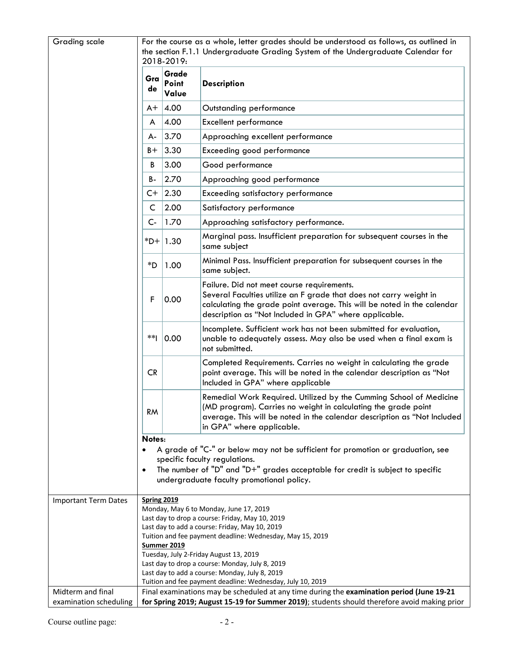| <b>Grading scale</b>                        |                                                                                                                                                                                                                                                                                                                                                                                                                                                            |                         | For the course as a whole, letter grades should be understood as follows, as outlined in                                                                                                                                                              |  |
|---------------------------------------------|------------------------------------------------------------------------------------------------------------------------------------------------------------------------------------------------------------------------------------------------------------------------------------------------------------------------------------------------------------------------------------------------------------------------------------------------------------|-------------------------|-------------------------------------------------------------------------------------------------------------------------------------------------------------------------------------------------------------------------------------------------------|--|
|                                             | the section F.1.1 Undergraduate Grading System of the Undergraduate Calendar for<br>2018-2019:                                                                                                                                                                                                                                                                                                                                                             |                         |                                                                                                                                                                                                                                                       |  |
|                                             | Gra<br>de                                                                                                                                                                                                                                                                                                                                                                                                                                                  | Grade<br>Point<br>Value | <b>Description</b>                                                                                                                                                                                                                                    |  |
|                                             | $A+$                                                                                                                                                                                                                                                                                                                                                                                                                                                       | 4.00                    | Outstanding performance                                                                                                                                                                                                                               |  |
|                                             | A                                                                                                                                                                                                                                                                                                                                                                                                                                                          | 4.00                    | <b>Excellent performance</b>                                                                                                                                                                                                                          |  |
|                                             | А-                                                                                                                                                                                                                                                                                                                                                                                                                                                         | 3.70                    | Approaching excellent performance                                                                                                                                                                                                                     |  |
|                                             | $B +$                                                                                                                                                                                                                                                                                                                                                                                                                                                      | 3.30                    | Exceeding good performance                                                                                                                                                                                                                            |  |
|                                             | В                                                                                                                                                                                                                                                                                                                                                                                                                                                          | 3.00                    | Good performance                                                                                                                                                                                                                                      |  |
|                                             | B-                                                                                                                                                                                                                                                                                                                                                                                                                                                         | 2.70                    | Approaching good performance                                                                                                                                                                                                                          |  |
|                                             | C+                                                                                                                                                                                                                                                                                                                                                                                                                                                         | 2.30                    | <b>Exceeding satisfactory performance</b>                                                                                                                                                                                                             |  |
|                                             | C                                                                                                                                                                                                                                                                                                                                                                                                                                                          | 2.00                    | Satisfactory performance                                                                                                                                                                                                                              |  |
|                                             | $C -$                                                                                                                                                                                                                                                                                                                                                                                                                                                      | 1.70                    | Approaching satisfactory performance.                                                                                                                                                                                                                 |  |
|                                             |                                                                                                                                                                                                                                                                                                                                                                                                                                                            | $ + 1.30$               | Marginal pass. Insufficient preparation for subsequent courses in the<br>same subject                                                                                                                                                                 |  |
|                                             | *D                                                                                                                                                                                                                                                                                                                                                                                                                                                         | 1.00                    | Minimal Pass. Insufficient preparation for subsequent courses in the<br>same subject.                                                                                                                                                                 |  |
|                                             | F                                                                                                                                                                                                                                                                                                                                                                                                                                                          | 0.00                    | Failure. Did not meet course requirements.<br>Several Faculties utilize an F grade that does not carry weight in<br>calculating the grade point average. This will be noted in the calendar<br>description as "Not Included in GPA" where applicable. |  |
|                                             | $**$                                                                                                                                                                                                                                                                                                                                                                                                                                                       | 0.00                    | Incomplete. Sufficient work has not been submitted for evaluation,<br>unable to adequately assess. May also be used when a final exam is<br>not submitted.                                                                                            |  |
|                                             | <b>CR</b>                                                                                                                                                                                                                                                                                                                                                                                                                                                  |                         | Completed Requirements. Carries no weight in calculating the grade<br>point average. This will be noted in the calendar description as "Not<br>Included in GPA" where applicable                                                                      |  |
|                                             | <b>RM</b>                                                                                                                                                                                                                                                                                                                                                                                                                                                  |                         | Remedial Work Required. Utilized by the Cumming School of Medicine<br>(MD program). Carries no weight in calculating the grade point<br>average. This will be noted in the calendar description as "Not Included<br>in GPA" where applicable.         |  |
|                                             | Notes:<br>$\bullet$<br>$\bullet$                                                                                                                                                                                                                                                                                                                                                                                                                           |                         | A grade of "C-" or below may not be sufficient for promotion or graduation, see<br>specific faculty regulations.<br>The number of "D" and "D+" grades acceptable for credit is subject to specific<br>undergraduate faculty promotional policy.       |  |
| <b>Important Term Dates</b>                 | <b>Spring 2019</b><br>Monday, May 6 to Monday, June 17, 2019<br>Last day to drop a course: Friday, May 10, 2019<br>Last day to add a course: Friday, May 10, 2019<br>Tuition and fee payment deadline: Wednesday, May 15, 2019<br>Summer 2019<br>Tuesday, July 2-Friday August 13, 2019<br>Last day to drop a course: Monday, July 8, 2019<br>Last day to add a course: Monday, July 8, 2019<br>Tuition and fee payment deadline: Wednesday, July 10, 2019 |                         |                                                                                                                                                                                                                                                       |  |
| Midterm and final<br>examination scheduling |                                                                                                                                                                                                                                                                                                                                                                                                                                                            |                         | Final examinations may be scheduled at any time during the examination period (June 19-21<br>for Spring 2019; August 15-19 for Summer 2019); students should therefore avoid making prior                                                             |  |
|                                             |                                                                                                                                                                                                                                                                                                                                                                                                                                                            |                         |                                                                                                                                                                                                                                                       |  |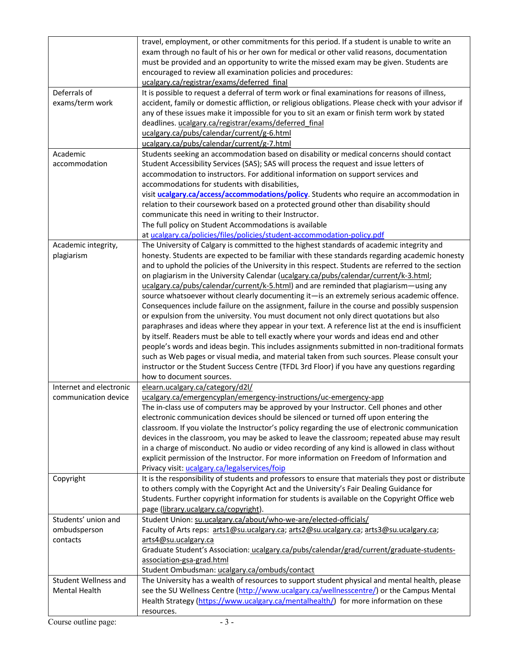|                                                                                      | travel, employment, or other commitments for this period. If a student is unable to write an<br>exam through no fault of his or her own for medical or other valid reasons, documentation<br>must be provided and an opportunity to write the missed exam may be given. Students are<br>encouraged to review all examination policies and procedures:<br>ucalgary.ca/registrar/exams/deferred final                                                                                                                                                                                                                                                                                                                                                                                                                                                                                                                                                                                                                                                                                                                                                                                                                                                                                                                                                                                                                    |
|--------------------------------------------------------------------------------------|------------------------------------------------------------------------------------------------------------------------------------------------------------------------------------------------------------------------------------------------------------------------------------------------------------------------------------------------------------------------------------------------------------------------------------------------------------------------------------------------------------------------------------------------------------------------------------------------------------------------------------------------------------------------------------------------------------------------------------------------------------------------------------------------------------------------------------------------------------------------------------------------------------------------------------------------------------------------------------------------------------------------------------------------------------------------------------------------------------------------------------------------------------------------------------------------------------------------------------------------------------------------------------------------------------------------------------------------------------------------------------------------------------------------|
| Deferrals of<br>exams/term work                                                      | It is possible to request a deferral of term work or final examinations for reasons of illness,<br>accident, family or domestic affliction, or religious obligations. Please check with your advisor if<br>any of these issues make it impossible for you to sit an exam or finish term work by stated<br>deadlines. ucalgary.ca/registrar/exams/deferred final<br>ucalgary.ca/pubs/calendar/current/g-6.html<br>ucalgary.ca/pubs/calendar/current/g-7.html                                                                                                                                                                                                                                                                                                                                                                                                                                                                                                                                                                                                                                                                                                                                                                                                                                                                                                                                                            |
| Academic                                                                             | Students seeking an accommodation based on disability or medical concerns should contact                                                                                                                                                                                                                                                                                                                                                                                                                                                                                                                                                                                                                                                                                                                                                                                                                                                                                                                                                                                                                                                                                                                                                                                                                                                                                                                               |
| accommodation                                                                        | Student Accessibility Services (SAS); SAS will process the request and issue letters of<br>accommodation to instructors. For additional information on support services and<br>accommodations for students with disabilities,<br>visit ucalgary.ca/access/accommodations/policy. Students who require an accommodation in<br>relation to their coursework based on a protected ground other than disability should<br>communicate this need in writing to their Instructor.<br>The full policy on Student Accommodations is available                                                                                                                                                                                                                                                                                                                                                                                                                                                                                                                                                                                                                                                                                                                                                                                                                                                                                  |
|                                                                                      | at ucalgary.ca/policies/files/policies/student-accommodation-policy.pdf                                                                                                                                                                                                                                                                                                                                                                                                                                                                                                                                                                                                                                                                                                                                                                                                                                                                                                                                                                                                                                                                                                                                                                                                                                                                                                                                                |
| Academic integrity,<br>plagiarism<br>Internet and electronic<br>communication device | The University of Calgary is committed to the highest standards of academic integrity and<br>honesty. Students are expected to be familiar with these standards regarding academic honesty<br>and to uphold the policies of the University in this respect. Students are referred to the section<br>on plagiarism in the University Calendar (ucalgary.ca/pubs/calendar/current/k-3.html;<br>ucalgary.ca/pubs/calendar/current/k-5.html) and are reminded that plagiarism—using any<br>source whatsoever without clearly documenting it-is an extremely serious academic offence.<br>Consequences include failure on the assignment, failure in the course and possibly suspension<br>or expulsion from the university. You must document not only direct quotations but also<br>paraphrases and ideas where they appear in your text. A reference list at the end is insufficient<br>by itself. Readers must be able to tell exactly where your words and ideas end and other<br>people's words and ideas begin. This includes assignments submitted in non-traditional formats<br>such as Web pages or visual media, and material taken from such sources. Please consult your<br>instructor or the Student Success Centre (TFDL 3rd Floor) if you have any questions regarding<br>how to document sources.<br>elearn.ucalgary.ca/category/d2l/<br>ucalgary.ca/emergencyplan/emergency-instructions/uc-emergency-app |
|                                                                                      | The in-class use of computers may be approved by your Instructor. Cell phones and other<br>electronic communication devices should be silenced or turned off upon entering the<br>classroom. If you violate the Instructor's policy regarding the use of electronic communication<br>devices in the classroom, you may be asked to leave the classroom; repeated abuse may result<br>in a charge of misconduct. No audio or video recording of any kind is allowed in class without<br>explicit permission of the Instructor. For more information on Freedom of Information and<br>Privacy visit: ucalgary.ca/legalservices/foip                                                                                                                                                                                                                                                                                                                                                                                                                                                                                                                                                                                                                                                                                                                                                                                      |
| Copyright                                                                            | It is the responsibility of students and professors to ensure that materials they post or distribute<br>to others comply with the Copyright Act and the University's Fair Dealing Guidance for<br>Students. Further copyright information for students is available on the Copyright Office web<br>page (library.ucalgary.ca/copyright).                                                                                                                                                                                                                                                                                                                                                                                                                                                                                                                                                                                                                                                                                                                                                                                                                                                                                                                                                                                                                                                                               |
| Students' union and<br>ombudsperson                                                  | Student Union: su.ucalgary.ca/about/who-we-are/elected-officials/<br>Faculty of Arts reps: arts1@su.ucalgary.ca; arts2@su.ucalgary.ca; arts3@su.ucalgary.ca;                                                                                                                                                                                                                                                                                                                                                                                                                                                                                                                                                                                                                                                                                                                                                                                                                                                                                                                                                                                                                                                                                                                                                                                                                                                           |
| contacts                                                                             | arts4@su.ucalgary.ca<br>Graduate Student's Association: ucalgary.ca/pubs/calendar/grad/current/graduate-students-<br>association-gsa-grad.html<br>Student Ombudsman: ucalgary.ca/ombuds/contact                                                                                                                                                                                                                                                                                                                                                                                                                                                                                                                                                                                                                                                                                                                                                                                                                                                                                                                                                                                                                                                                                                                                                                                                                        |
| Student Wellness and<br>Mental Health                                                | The University has a wealth of resources to support student physical and mental health, please<br>see the SU Wellness Centre (http://www.ucalgary.ca/wellnesscentre/) or the Campus Mental<br>Health Strategy (https://www.ucalgary.ca/mentalhealth/) for more information on these<br>resources.                                                                                                                                                                                                                                                                                                                                                                                                                                                                                                                                                                                                                                                                                                                                                                                                                                                                                                                                                                                                                                                                                                                      |